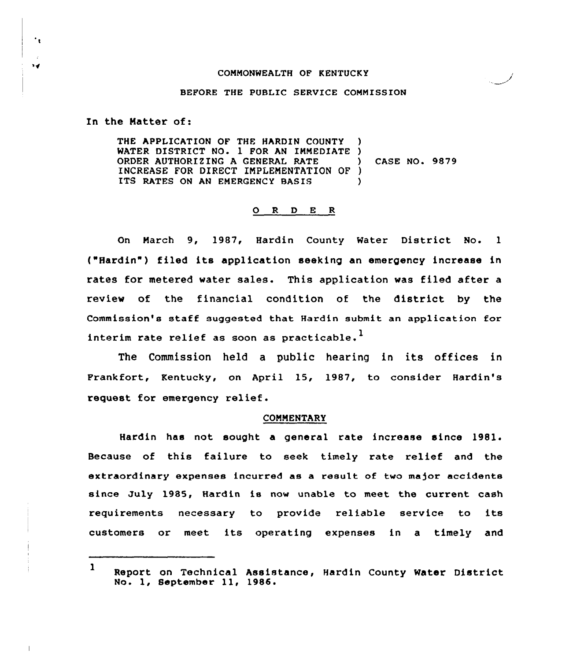#### COMMONWEALTH OF KENTUCKY

## BEFORE THE PUBLIC SERVICE COMMISSION

In the Matter of:

 $\cdot$ 

 $\mathbf{r}$ 

THE APPLICATION OF THE HARDIN COUNTY WATER DISTRICT NO. 1 FOR AN IMMEDIATE )<br>ORDER AUTHORIZING A GENERAL RATE ORDER AUTHORIZING <sup>A</sup> GENERAL RATE ) CASE NO. 9879 INCREASE FOR DIRECT IMPLEMENTATION OF ) ITS RATES ON AN EMERGENCY BASIS )

## 0 <sup>R</sup> <sup>D</sup> E <sup>R</sup>

On March 9, 1987, Hardin County Water District No. <sup>1</sup> ("Hardin") filed its application seeking an emergency increase in rates for metered water sales. This application was filed after a review of the financial condition of the district by the Commission's staff suggested that Hardin submit an application for interim rate relief as soon as practicable.<sup>1</sup>

The Commission held <sup>a</sup> public hearing in its offices in Frankfort, Kentucky, on April 15, 1987, to consider Hardin's request for emergency relief.

## COMMENTARY

Hardin has not sought a general rate increase since 1981. Because of this failure to seek timely rate relief and the extraordinary expenses incurred as a result of two major accidents since July 1985, Hardin is now unable to meet the current cash requirements necessary to provide reliable service to its customers or meet its operating expenses in <sup>a</sup> timely and

<sup>1</sup> Report on Technical Assistance, Hardin County Water District No. 1, September 11, 1986.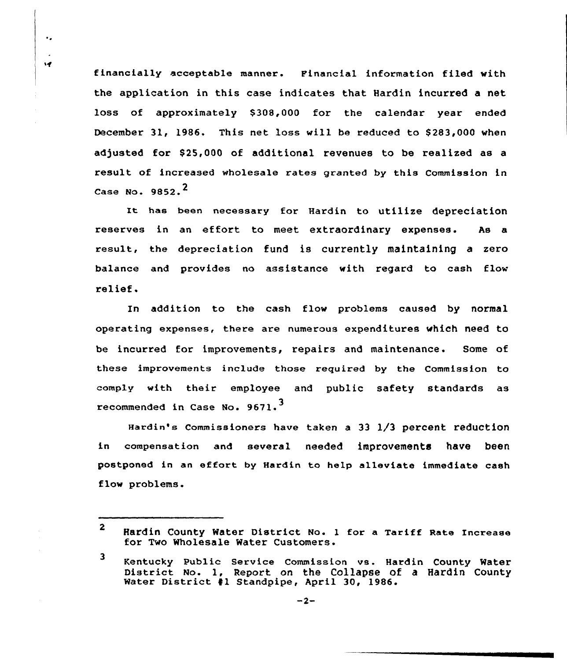financially acceptable manner. Financial information filed with the application in this case indicates that Hardin incurred a net loss of approximately \$308,000 for the calendar year ended December 31, 1986. This net loss will be reduced to \$283,000 when adjusted for \$25,000 of additional revenues to be realized as a result of increased wholesale rates granted by this Commission in Case No. 9852.<sup>2</sup>

 $\ddot{\phantom{a}}$ 

 $\mathbf{M}$ 

It has been necessary for Hardin to utilize depreciation reserves in an effort to meet extraordinary expenses. As a result, the depreciation fund is currently maintaining a zero balance and provides no assistance with regard to cash flow relief.

In addition to the cash flow problems caused by normal operating expenses, there are numerous expenditures which need to be incurred for improvements, repairs and maintenance. Some of these improvements include those required by the Commission to comply with their employee and public safety standards as recommended in Case No. 9671.<sup>3</sup>

Hardin's Commissioners have taken a 33 1/3 percent reduction in compensation and several needed improvements have been postponed in an effort by Hardin to help alleviate immediate cash flow problems.

<sup>2</sup> Hardin County Water District No. <sup>1</sup> for a Tariff Rate Increase for Two Wholesale Water Customers.

<sup>3</sup> Kentucky Public Service Commission vs. Hardin County Water District No. 1, Report on the Collapse of <sup>a</sup> Hardin County Water District #1 Standpipe, April 30, 1986.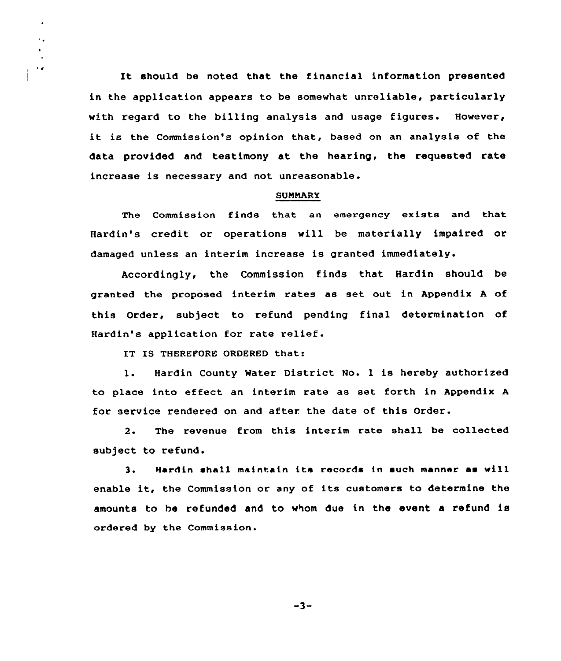It should be noted that the financial information presented in the application appears to be somewhat unreliable, particularly with regard to the billing analysis and usage figures. However, it is the Commission's opinion that, based on an analysis of the data provided and testimony at, the hearing, the requested rate increase is necessary and not unreasonable.

### **SUMMARY**

The Commission finds that an emergency exists and that Hardin's credit or operations will be materially impaired or damaged unless an interim increase is granted immediately.

Accordingly, the Commission finds that Hardin should be granted the proposed interim rates as set out in Appendix <sup>A</sup> of this Order, subject to refund pending final determination of Hardin's application for rate relief.

IT IS THEREFORE ORDERED that:

 $\ddot{\phantom{0}}$  $\ddot{\phantom{0}}$ 

 $\ddot{\phantom{0}}$ 

1. Hardin County Water District No. <sup>1</sup> is hereby authorised to place into effect an interim rate as set forth in Appendix <sup>A</sup> for service rendered on and after the date of this Order.

2. The revenue from this interim rate shall be collected subject to refund.

Hardin shall maintain its records tn such manner as will 3. enable it, the Commission or any of its customers to determine the amounts to he refunded and to whom due in the event a refund is ordered by the Commission.

 $-3-$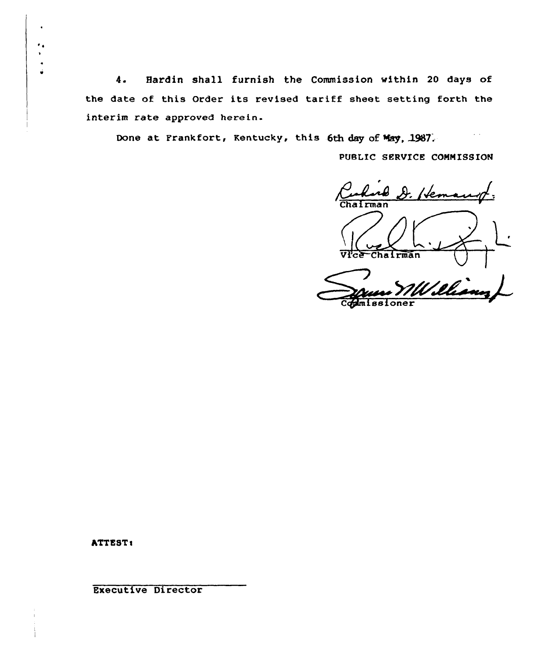Hardin shall furnish the Commission within 20 days of  $4.$ the date of this Order its revised tariff sheet setting forth the interim rate approved herein.

Done at Frankfort, Kentucky, this 6th day of May, 1987.

PUBLIC SERVICE COMMISSION

Curlist D. Hema Chairman

ATTEST:

**Executive Director**